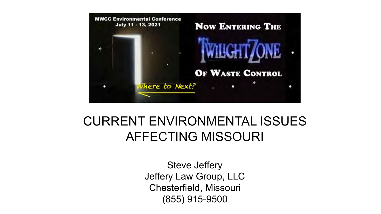

# CURRENT ENVIRONMENTAL ISSUES AFFECTING MISSOURI

Steve Jeffery Jeffery Law Group, LLC Chesterfield, Missouri (855) 915-9500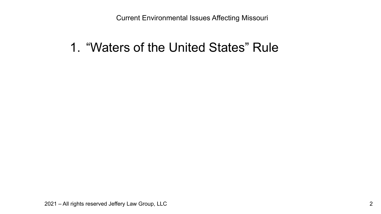### 1. "Waters of the United States" Rule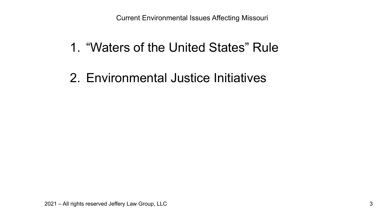## 1. "Waters of the United States" Rule

## 2. Environmental Justice Initiatives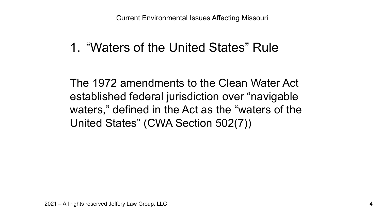## 1. "Waters of the United States" Rule

The 1972 amendments to the Clean Water Act established federal jurisdiction over "navigable waters," defined in the Act as the "waters of the United States" (CWA Section 502(7))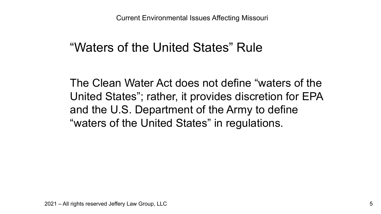## "Waters of the United States" Rule

The Clean Water Act does not define "waters of the United States"; rather, it provides discretion for EPA and the U.S. Department of the Army to define "waters of the United States" in regulations.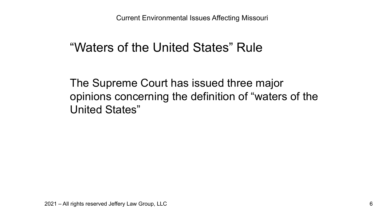## "Waters of the United States" Rule

The Supreme Court has issued three major opinions concerning the definition of "waters of the United States"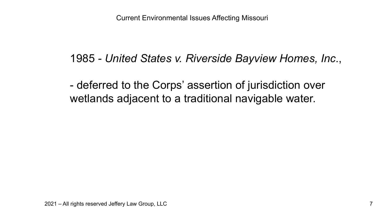#### 1985 *- United States v. Riverside Bayview Homes, Inc*.,

- deferred to the Corps' assertion of jurisdiction over wetlands adjacent to a traditional navigable water.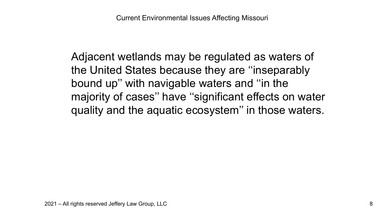Adjacent wetlands may be regulated as waters of the United States because they are ''inseparably bound up'' with navigable waters and ''in the majority of cases'' have ''significant effects on water quality and the aquatic ecosystem'' in those waters.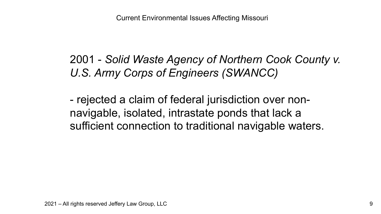2001 - *Solid Waste Agency of Northern Cook County v. U.S. Army Corps of Engineers (SWANCC)*

- rejected a claim of federal jurisdiction over nonnavigable, isolated, intrastate ponds that lack a sufficient connection to traditional navigable waters.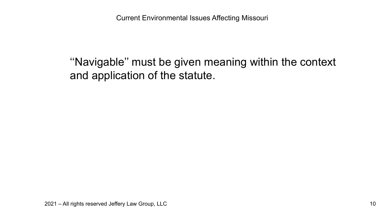''Navigable'' must be given meaning within the context and application of the statute.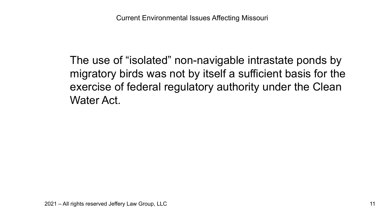The use of "isolated" non-navigable intrastate ponds by migratory birds was not by itself a sufficient basis for the exercise of federal regulatory authority under the Clean Water Act.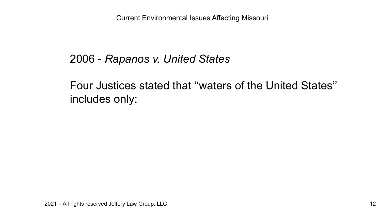#### 2006 - *Rapanos v. United States*

Four Justices stated that ''waters of the United States'' includes only: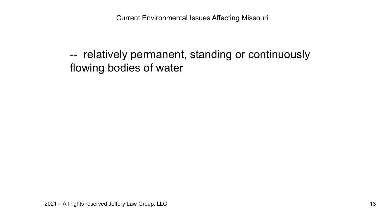-- relatively permanent, standing or continuously flowing bodies of water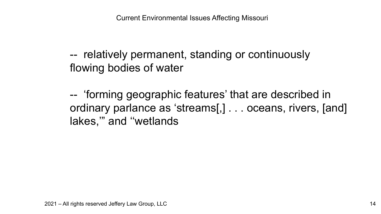-- relatively permanent, standing or continuously flowing bodies of water

-- 'forming geographic features' that are described in ordinary parlance as 'streams[,] . . . oceans, rivers, [and] lakes,'" and ''wetlands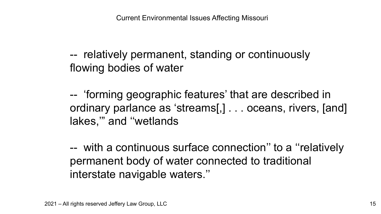-- relatively permanent, standing or continuously flowing bodies of water

-- 'forming geographic features' that are described in ordinary parlance as 'streams[,] . . . oceans, rivers, [and] lakes,'" and ''wetlands

-- with a continuous surface connection'' to a ''relatively permanent body of water connected to traditional interstate navigable waters.''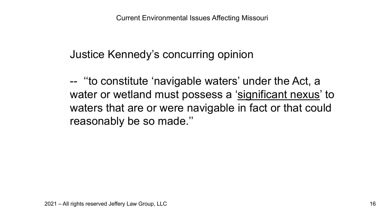Justice Kennedy's concurring opinion

-- ''to constitute 'navigable waters' under the Act, a water or wetland must possess a 'significant nexus' to waters that are or were navigable in fact or that could reasonably be so made.''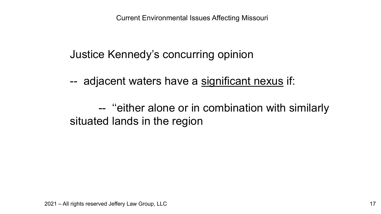Justice Kennedy's concurring opinion

-- adjacent waters have a significant nexus if:

-- ''either alone or in combination with similarly situated lands in the region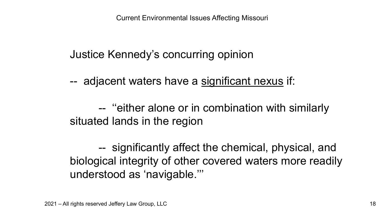Justice Kennedy's concurring opinion

-- adjacent waters have a significant nexus if:

-- ''either alone or in combination with similarly situated lands in the region

-- significantly affect the chemical, physical, and biological integrity of other covered waters more readily understood as 'navigable.'''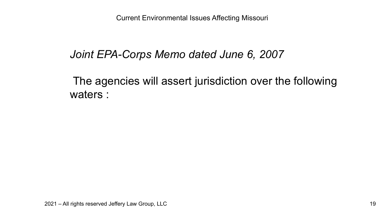#### *Joint EPA-Corps Memo dated June 6, 2007*

The agencies will assert jurisdiction over the following waters :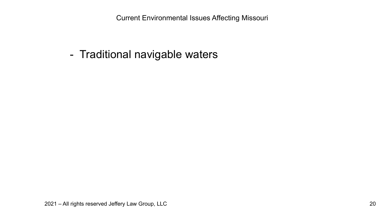- Traditional navigable waters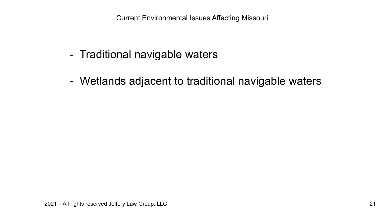- Traditional navigable waters
- Wetlands adjacent to traditional navigable waters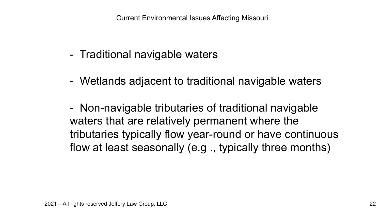- Traditional navigable waters
- Wetlands adjacent to traditional navigable waters

- Non-navigable tributaries of traditional navigable waters that are relatively permanent where the tributaries typically flow year-round or have continuous flow at least seasonally (e.g ., typically three months)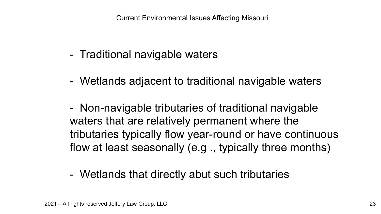- Traditional navigable waters
- Wetlands adjacent to traditional navigable waters

- Non-navigable tributaries of traditional navigable waters that are relatively permanent where the tributaries typically flow year-round or have continuous flow at least seasonally (e.g ., typically three months)

- Wetlands that directly abut such tributaries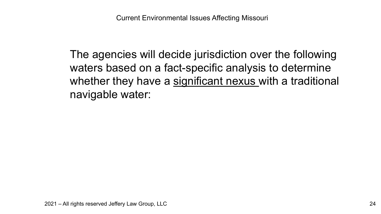The agencies will decide jurisdiction over the following waters based on a fact-specific analysis to determine whether they have a significant nexus with a traditional navigable water: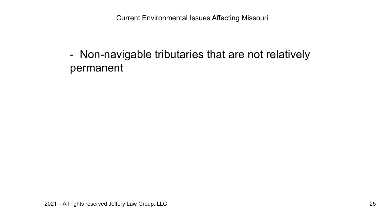- Non-navigable tributaries that are not relatively permanent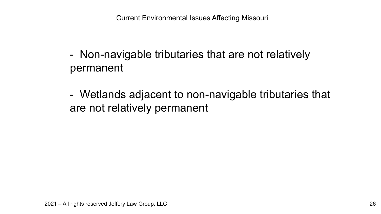- Non-navigable tributaries that are not relatively permanent
- Wetlands adjacent to non-navigable tributaries that are not relatively permanent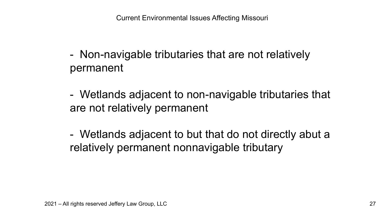- Non-navigable tributaries that are not relatively permanent
- Wetlands adjacent to non-navigable tributaries that are not relatively permanent

- Wetlands adjacent to but that do not directly abut a relatively permanent nonnavigable tributary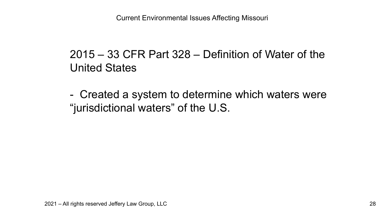### 2015 – 33 CFR Part 328 – Definition of Water of the United States

- Created a system to determine which waters were "jurisdictional waters" of the U.S.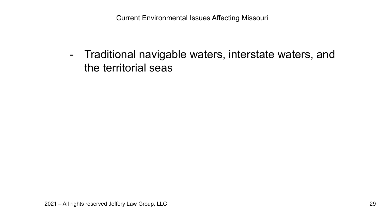- Traditional navigable waters, interstate waters, and the territorial seas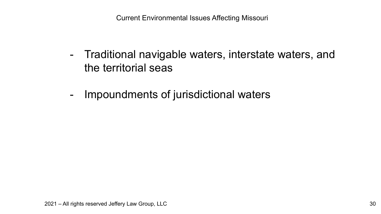- Traditional navigable waters, interstate waters, and the territorial seas
- Impoundments of jurisdictional waters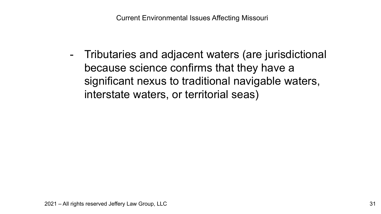- Tributaries and adjacent waters (are jurisdictional because science confirms that they have a significant nexus to traditional navigable waters, interstate waters, or territorial seas)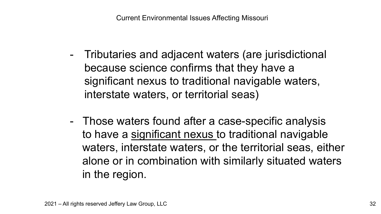- Tributaries and adjacent waters (are jurisdictional because science confirms that they have a significant nexus to traditional navigable waters, interstate waters, or territorial seas)
- Those waters found after a case-specific analysis to have a significant nexus to traditional navigable waters, interstate waters, or the territorial seas, either alone or in combination with similarly situated waters in the region.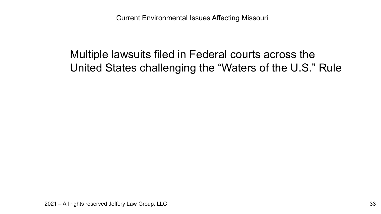### Multiple lawsuits filed in Federal courts across the United States challenging the "Waters of the U.S." Rule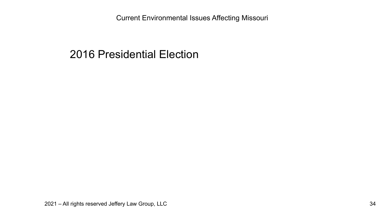#### 2016 Presidential Election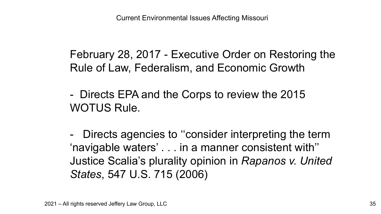February 28, 2017 - Executive Order on Restoring the Rule of Law, Federalism, and Economic Growth

- Directs EPA and the Corps to review the 2015 WOTUS Rule.

- Directs agencies to ''consider interpreting the term 'navigable waters' . . . in a manner consistent with'' Justice Scalia's plurality opinion in *Rapanos v. United States*, 547 U.S. 715 (2006)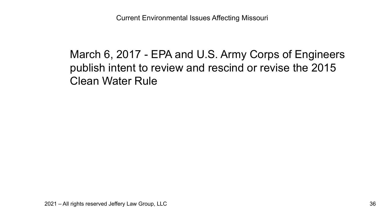### March 6, 2017 - EPA and U.S. Army Corps of Engineers publish intent to review and rescind or revise the 2015 Clean Water Rule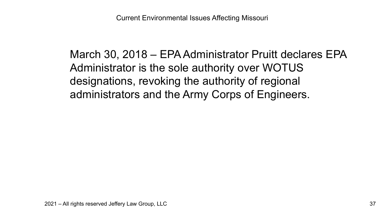March 30, 2018 – EPA Administrator Pruitt declares EPA Administrator is the sole authority over WOTUS designations, revoking the authority of regional administrators and the Army Corps of Engineers.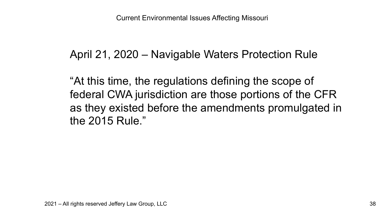### April 21, 2020 – Navigable Waters Protection Rule

"At this time, the regulations defining the scope of federal CWA jurisdiction are those portions of the CFR as they existed before the amendments promulgated in the 2015 Rule."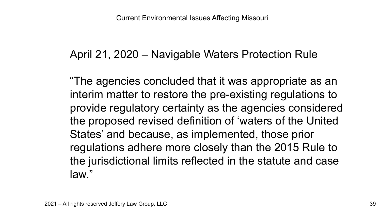### April 21, 2020 – Navigable Waters Protection Rule

"The agencies concluded that it was appropriate as an interim matter to restore the pre-existing regulations to provide regulatory certainty as the agencies considered the proposed revised definition of 'waters of the United States' and because, as implemented, those prior regulations adhere more closely than the 2015 Rule to the jurisdictional limits reflected in the statute and case law."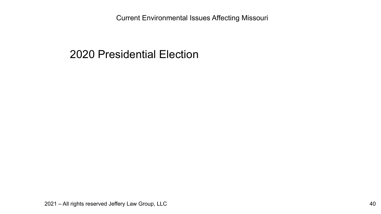#### 2020 Presidential Election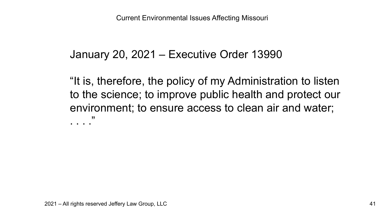#### January 20, 2021 – Executive Order 13990

"It is, therefore, the policy of my Administration to listen to the science; to improve public health and protect our environment; to ensure access to clean air and water; . . . . "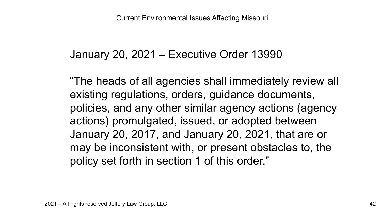#### January 20, 2021 – Executive Order 13990

"The heads of all agencies shall immediately review all existing regulations, orders, guidance documents, policies, and any other similar agency actions (agency actions) promulgated, issued, or adopted between January 20, 2017, and January 20, 2021, that are or may be inconsistent with, or present obstacles to, the policy set forth in section 1 of this order."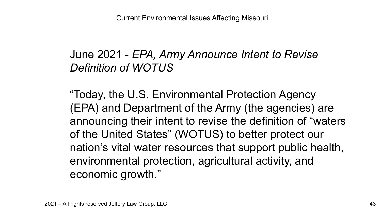# June 2021 - *EPA, Army Announce Intent to Revise Definition of WOTUS*

"Today, the U.S. Environmental Protection Agency (EPA) and Department of the Army (the agencies) are announcing their intent to revise the definition of "waters of the United States" (WOTUS) to better protect our nation's vital water resources that support public health, environmental protection, agricultural activity, and economic growth."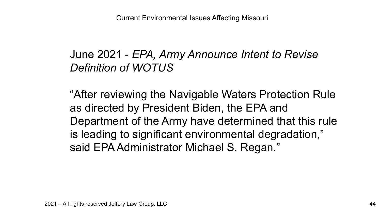# June 2021 - *EPA, Army Announce Intent to Revise Definition of WOTUS*

"After reviewing the Navigable Waters Protection Rule as directed by President Biden, the EPA and Department of the Army have determined that this rule is leading to significant environmental degradation," said EPA Administrator Michael S. Regan."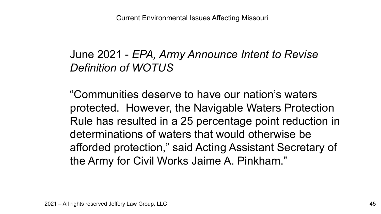# June 2021 - *EPA, Army Announce Intent to Revise Definition of WOTUS*

"Communities deserve to have our nation's waters protected. However, the Navigable Waters Protection Rule has resulted in a 25 percentage point reduction in determinations of waters that would otherwise be afforded protection," said Acting Assistant Secretary of the Army for Civil Works Jaime A. Pinkham."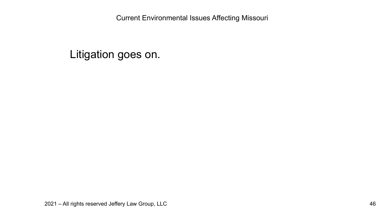#### Litigation goes on.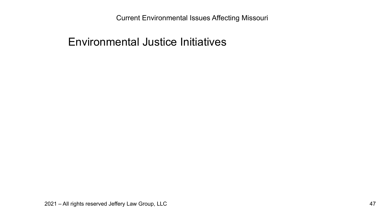#### Environmental Justice Initiatives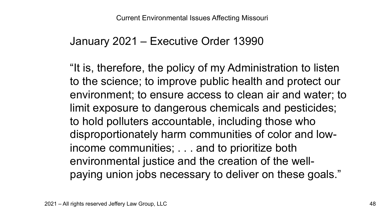#### January 2021 – Executive Order 13990

"It is, therefore, the policy of my Administration to listen to the science; to improve public health and protect our environment; to ensure access to clean air and water; to limit exposure to dangerous chemicals and pesticides; to hold polluters accountable, including those who disproportionately harm communities of color and lowincome communities; . . . and to prioritize both environmental justice and the creation of the wellpaying union jobs necessary to deliver on these goals."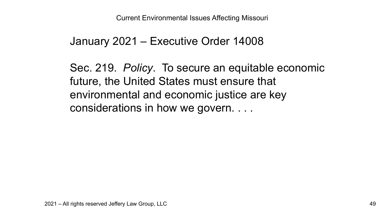#### January 2021 – Executive Order 14008

Sec. 219. *Policy*. To secure an equitable economic future, the United States must ensure that environmental and economic justice are key considerations in how we govern. . . .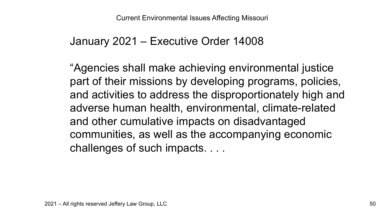#### January 2021 – Executive Order 14008

"Agencies shall make achieving environmental justice part of their missions by developing programs, policies, and activities to address the disproportionately high and adverse human health, environmental, climate-related and other cumulative impacts on disadvantaged communities, as well as the accompanying economic challenges of such impacts. . . .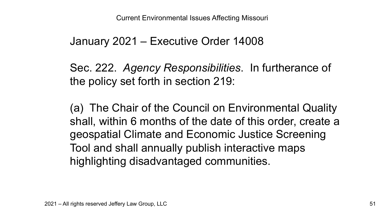#### January 2021 – Executive Order 14008

Sec. 222. *Agency Responsibilities*. In furtherance of the policy set forth in section 219:

(a) The Chair of the Council on Environmental Quality shall, within 6 months of the date of this order, create a geospatial Climate and Economic Justice Screening Tool and shall annually publish interactive maps highlighting disadvantaged communities.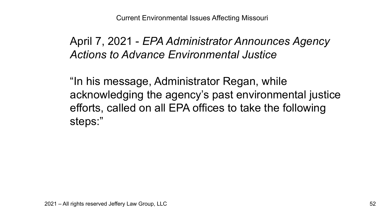### April 7, 2021 - *EPA Administrator Announces Agency Actions to Advance Environmental Justice*

"In his message, Administrator Regan, while acknowledging the agency's past environmental justice efforts, called on all EPA offices to take the following steps:"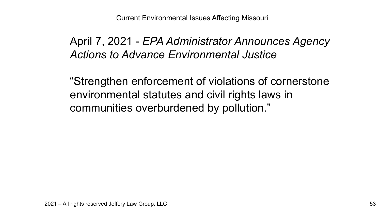### April 7, 2021 - *EPA Administrator Announces Agency Actions to Advance Environmental Justice*

"Strengthen enforcement of violations of cornerstone environmental statutes and civil rights laws in communities overburdened by pollution."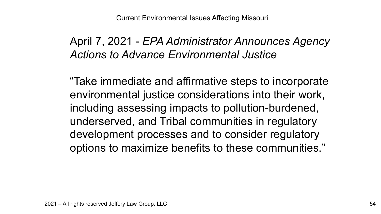### April 7, 2021 - *EPA Administrator Announces Agency Actions to Advance Environmental Justice*

"Take immediate and affirmative steps to incorporate environmental justice considerations into their work, including assessing impacts to pollution-burdened, underserved, and Tribal communities in regulatory development processes and to consider regulatory options to maximize benefits to these communities."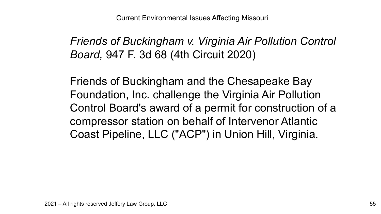*Friends of Buckingham v. Virginia Air Pollution Control Board,* 947 F. 3d 68 (4th Circuit 2020)

Friends of Buckingham and the Chesapeake Bay Foundation, Inc. challenge the Virginia Air Pollution Control Board's award of a permit for construction of a compressor station on behalf of Intervenor Atlantic Coast Pipeline, LLC ("ACP") in Union Hill, Virginia.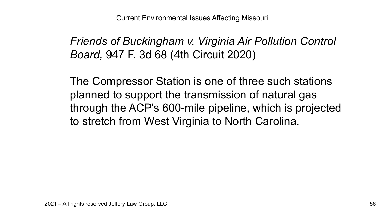*Friends of Buckingham v. Virginia Air Pollution Control Board,* 947 F. 3d 68 (4th Circuit 2020)

The Compressor Station is one of three such stations planned to support the transmission of natural gas through the ACP's 600-mile pipeline, which is projected to stretch from West Virginia to North Carolina.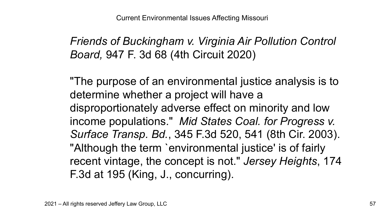*Friends of Buckingham v. Virginia Air Pollution Control Board,* 947 F. 3d 68 (4th Circuit 2020)

"The purpose of an environmental justice analysis is to determine whether a project will have a disproportionately adverse effect on minority and low income populations." *Mid States Coal. for Progress v. Surface Transp. Bd.*, 345 F.3d 520, 541 (8th Cir. 2003). "Although the term `environmental justice' is of fairly recent vintage, the concept is not." *Jersey Heights*, 174 F.3d at 195 (King, J., concurring).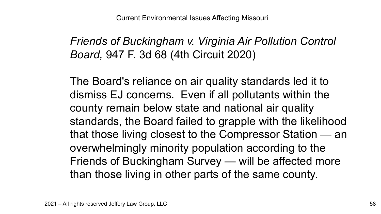*Friends of Buckingham v. Virginia Air Pollution Control Board,* 947 F. 3d 68 (4th Circuit 2020)

The Board's reliance on air quality standards led it to dismiss EJ concerns. Even if all pollutants within the county remain below state and national air quality standards, the Board failed to grapple with the likelihood that those living closest to the Compressor Station — an overwhelmingly minority population according to the Friends of Buckingham Survey — will be affected more than those living in other parts of the same county.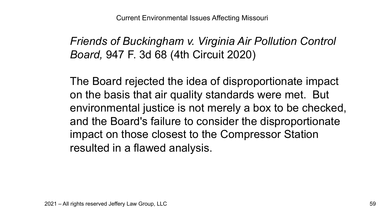*Friends of Buckingham v. Virginia Air Pollution Control Board,* 947 F. 3d 68 (4th Circuit 2020)

The Board rejected the idea of disproportionate impact on the basis that air quality standards were met. But environmental justice is not merely a box to be checked, and the Board's failure to consider the disproportionate impact on those closest to the Compressor Station resulted in a flawed analysis.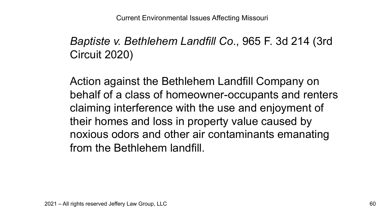# *Baptiste v. Bethlehem Landfill Co*., 965 F. 3d 214 (3rd Circuit 2020)

Action against the Bethlehem Landfill Company on behalf of a class of homeowner-occupants and renters claiming interference with the use and enjoyment of their homes and loss in property value caused by noxious odors and other air contaminants emanating from the Bethlehem landfill.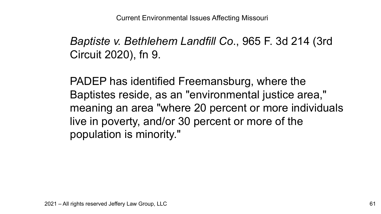*Baptiste v. Bethlehem Landfill Co*., 965 F. 3d 214 (3rd Circuit 2020), fn 9.

PADEP has identified Freemansburg, where the Baptistes reside, as an "environmental justice area," meaning an area "where 20 percent or more individuals live in poverty, and/or 30 percent or more of the population is minority."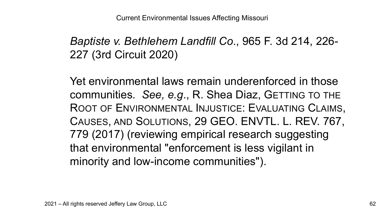## *Baptiste v. Bethlehem Landfill Co*., 965 F. 3d 214, 226- 227 (3rd Circuit 2020)

Yet environmental laws remain underenforced in those communities. *See, e.g*., R. Shea Diaz, GETTING TO THE ROOT OF ENVIRONMENTAL INJUSTICE: EVALUATING CLAIMS, CAUSES, AND SOLUTIONS, 29 GEO. ENVTL. L. REV. 767, 779 (2017) (reviewing empirical research suggesting that environmental "enforcement is less vigilant in minority and low-income communities").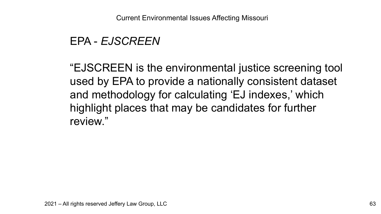#### EPA - *EJSCREEN*

"EJSCREEN is the environmental justice screening tool used by EPA to provide a nationally consistent dataset and methodology for calculating 'EJ indexes,' which highlight places that may be candidates for further review."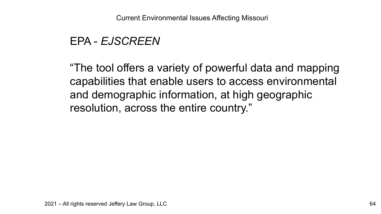#### EPA - *EJSCREEN*

"The tool offers a variety of powerful data and mapping capabilities that enable users to access environmental and demographic information, at high geographic resolution, across the entire country."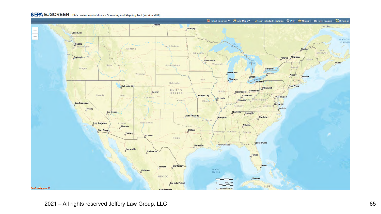

2021 – All rights reserved Jeffery Law Group, LLC 65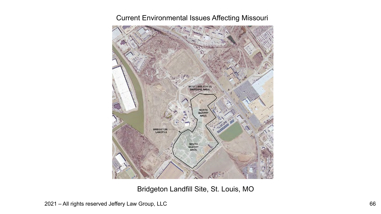

Bridgeton Landfill Site, St. Louis, MO

2021 – All rights reserved Jeffery Law Group, LLC 66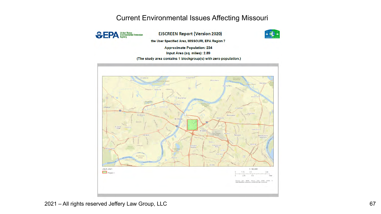

**EJSCREEN Report (Version 2020)** 



the User Specified Area, MISSOURI, EPA Region 7

**Approximate Population: 234** 

Input Area (sq. miles): 2.89

(The study area contains 1 blockgroup(s) with zero population.)

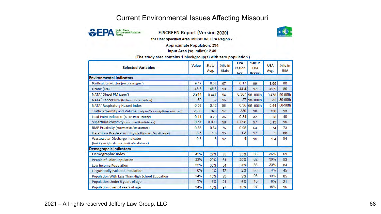

**EJSCREEN Report (Version 2020)** 



the User Specified Area, MISSOURI, EPA Region 7

**Approximate Population: 234** 

Input Area (sq. miles): 2.89

(The study area contains 1 blockgroup(s) with zero population.)

| <b>Selected Variables</b>                                                      | Value | <b>State</b><br>Avg. | %ile in<br><b>State</b> | <b>EPA</b><br><b>Region</b><br>Avg. | %ile in<br><b>EPA</b><br>Region | <b>USA</b><br>Avg. | %ile in<br><b>USA</b> |
|--------------------------------------------------------------------------------|-------|----------------------|-------------------------|-------------------------------------|---------------------------------|--------------------|-----------------------|
| <b>Environmental Indicators</b>                                                |       |                      |                         |                                     |                                 |                    |                       |
| Particulate Matter (PM 2.5 in µg/m <sup>3</sup> )                              | 9.47  | 8.56                 | 97                      | 8.17                                | 99                              | 8.55               | 80                    |
| Ozone (ppb)                                                                    | 48.5  | 45.6                 | 93                      | 44.4                                | 97                              | 42.9               | 86                    |
| NATA* Diesel PM (µg/m <sup>3</sup> )                                           | 0.914 | 0.447                | 94                      | 0.367                               | 95-100th                        | 0.478              | 90-95th               |
| NATA* Cancer Risk (lifetime risk per million)                                  | 39    | 32                   | 96                      | 27                                  | 95-100th                        | 32                 | 80-90th               |
| NATA* Respiratory Hazard Index                                                 | 0.56  | 0.42                 | 98                      |                                     | 0.36 95-100th                   | 0.44               | 80-90th               |
| Traffic Proximity and Volume (daily traffic count/distance to road)            | 2600  | 370                  | 97                      | 330                                 | 98                              | 750                | 93                    |
| Lead Paint Indicator (% Pre-1960 Housing)                                      | 0.11  | 0.29                 | 36                      | 0.34                                | 32                              | 0.28               | 40                    |
| Superfund Proximity (site count/km distance)                                   | 0.57  | 0.099                | 98                      | 0.098                               | 97                              | 0.13               | 95                    |
| RMP Proximity (facility count/km distance)                                     | 0.88  | 0.64                 | 76                      | 0.95                                | 64                              | 0.74               | 73                    |
| Hazardous Waste Proximity (facility count/km distance)                         | 6.5   | 1.6                  | 95                      | 1.3                                 | 97                              | 5                  | 88                    |
| Wastewater Discharge Indicator<br>(toxicity-weighted concentration/m distance) | 0.8   | 8                    | 92                      | 4                                   | 95                              | 9.4                | 94                    |
| Demographic Indicators                                                         |       |                      |                         |                                     |                                 |                    |                       |
| Demographic Index                                                              | 45%   | 27%                  | 85                      | 25%                                 | 86                              | 36%                | 69                    |
| People of Color Population                                                     | 33%   | 20%                  | 81                      | 20%                                 | 82                              | 39%                | 53                    |
| Low Income Population                                                          | 55%   | 33%                  | 84                      | 31%                                 | 86                              | 33%                | 84                    |
| <b>Linguistically Isolated Population</b>                                      | 0%    | 1%                   | 72                      | 2%                                  | 66                              | 4%                 | 45                    |
| Population With Less Than High School Education                                | 24%   | 10%                  | 93                      | 9%                                  | 93                              | 13%                | 85                    |
| Population Under 5 years of age                                                | 3%    | 6%                   | 21                      | 6%                                  | 18                              | 6%                 | 21                    |
| Population over 64 years of age                                                | 34%   | 16%                  | 97                      | 16%                                 | 97                              | 15%                | 96                    |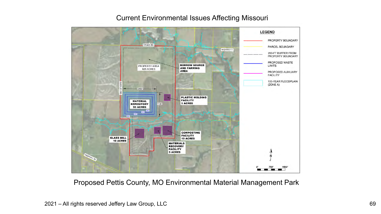#### **LEGEND** PROPERTY BOUNDARY DRAKE RD PARCEL BOUNDARY **HIGHWAY T** 200-FT BUFFER FROM PROPERTY BOUNDARY PROPOSED WASTE **BORROW SOURCE LIMITS** PROPERTY AREA **AND FARMING** 628 ACRES **AREA** PROPOSED AUXILIARY **FACILITY** 100-YEAR FLOODPLAIN (ZONE A) **PLASTIC MOLDING FACILITY MATERIAL 5 ACRES** 1725 **REPOSITORY** 95 ACRES **COMPOSTING** FACILITY<br>10 ACRES **GLASS MILL** 10 ACRES **MATERIALS RECOVERY FACILITY 5 ACRES**

#### Current Environmental Issues Affecting Missouri

Proposed Pettis County, MO Environmental Material Management Park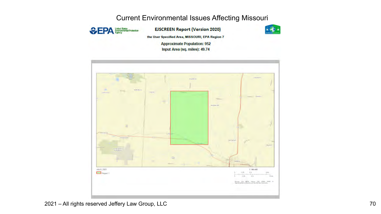

**EJSCREEN Report (Version 2020)** 



the User Specified Area, MISSOURI, EPA Region 7

**Approximate Population: 952** Input Area (sq. miles): 49.74

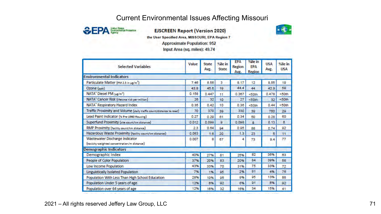

#### **EJSCREEN Report (Version 2020)**



the User Specified Area, MISSOURI, EPA Region 7

**Approximate Population: 952** 

Input Area (sq. miles): 49.74

| <b>Selected Variables</b>                                                      | Value | <b>State</b><br>Avg. | %ile in<br><b>State</b> | <b>EPA</b><br>Region<br>Avg. | %ile in<br><b>FPA</b><br>Region | <b>USA</b><br>Avg. | %ile in<br><b>USA</b> |
|--------------------------------------------------------------------------------|-------|----------------------|-------------------------|------------------------------|---------------------------------|--------------------|-----------------------|
| <b>Environmental Indicators</b>                                                |       |                      |                         |                              |                                 |                    |                       |
| Particulate Matter (PM 2.5 in µg/m <sup>3</sup> )                              | 746   | 8.56                 | 3                       | 8.17                         | 12                              | 8.55               | 19                    |
| Ozone (ppb)                                                                    | 43.8  | 45.6                 | 19                      | 44.4                         | 44                              | 42.9               | 59                    |
| NATA" Diesel PM (ug/m <sup>3</sup> )                                           | 0.158 | 0.447                | 11                      | 0.367                        | <50th                           | 0.478              | < 50th                |
| NATA* Cancer Risk (lifetime risk per million)                                  | 26    | 32                   | 10                      | 27                           | < 50th                          | 32                 | < 50th                |
| NATA <sup>*</sup> Respiratory Hazard Index                                     | 0.35  | 0.42                 | 10                      | 0.36                         | <50th                           | 0.44               | < 50th                |
| Traffic Proximity and Volume (daily traffic count/distance to road)            | 70    | 370                  | 39                      | 330                          | 39                              | 750                | 29                    |
| Lead Paint Indicator (% Pre-1960 Housing)                                      | 0.27  | 0.29                 | 61                      | 0.34                         | 50                              | 0.28               | 60                    |
| Superfund Proximity (site count/km distance)                                   | 0.012 | 0.099                | a                       | 0.098                        | 8                               | 0.13               | 8                     |
| RMP Proximity (facility count/km distance)                                     | 2.3   | 0.64                 | 94                      | 0.95                         | 88                              | 0.74               | 92                    |
| Hazardous Waste Proximity (facility count/km distance)                         | 0.083 | 1.6                  | 20                      | 1.3                          | 23                              | 5                  | 11                    |
| Wastewater Discharge Indicator<br>(toxicity-weighted concentration/m distance) | 0.007 | 8                    | 67                      | 4                            | 73                              | 9.4                | 77                    |
| <b>Demographic Indicators</b>                                                  |       |                      |                         |                              |                                 |                    |                       |
| Demographic Index                                                              | 40%   | 27%                  | 81                      | 25%                          | 82                              | 36%                | 63                    |
| People of Color Population                                                     | 37%   | 20%                  | 83                      | 20%                          | 84                              | 39%                | 56                    |
| Low Income Population                                                          | 43%   | 33%                  | 70                      | 31%                          | 75                              | 33%                | 72                    |
| Linguistically Isolated Population                                             | 7%    | 1%                   | 95                      | 2%                           | 91                              | 4%                 | 76                    |
| Population With Less Than High School Education                                | 28%   | 10%                  | 95                      | 9%                           | 95                              | 13%                | 88                    |
| Population Under 5 years of age                                                | 12%   | 8%                   | 92                      | 6%                           | 91                              | 6%                 | 92                    |
| Population over 64 years of age                                                | 12%   | 16%                  | 32                      | 16%                          | 34                              | 15%                | 41                    |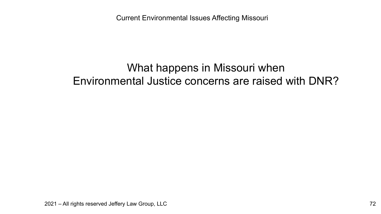### What happens in Missouri when Environmental Justice concerns are raised with DNR?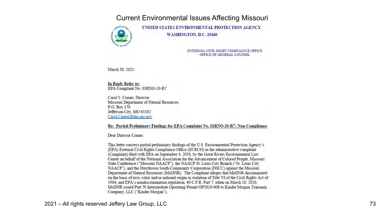

UNITED STATES ENVIRONMENTAL PROTECTION AGENCY WASHINGTON, D.C. 20460

> EXTERNAL CIVIL RIGHT COMPLIANCE OFFICE OFFICE OF GENERAL COUNSEL

March 30, 2021

In Reply Refer to: EPA Complaint No. 01RNO-20-R7

Carol S. Comer. Director Missouri Department of Natural Resources P.O. Box 176 Jefferson City, MO 65102 Carol.Comer@dnr.mo.gov

Re: Partial Preliminary Findings for EPA Complaint No. 01RNO-20-R7: Non-Compliance

Dear Director Comer:

This letter conveys partial preliminary findings of the U.S. Environmental Protection Agency's (EPA) External Civil Rights Compliance Office (ECRCO) in the administrative complaint (Complaint) filed with EPA on September 4, 2020, by the Great Rivers Environmental Law Center on behalf of the National Association for the Advancement of Colored People, Missouri State Conference ("Missouri NAACP"), the NAACP St. Louis City Branch ("St. Louis City NAACP"), and the Dutchtown South Community Corporation (DSCC) against the Missouri Department of Natural Resources (MoDNR). The Complaint alleges that MoDNR discriminated on the basis of race, color and/or national origin in violation of Title VI of the Civil Rights Act of 1964, and EPA's nondiscrimination regulation, 40 C.F.R. Part 7, when on March 10, 2020, MoDNR issued Part 70 Intermediate Operating Permit OP2020-008 to Kinder Morgan Transmix Company, LLC ("Kinder Morgan").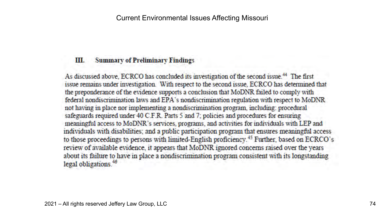## **MIL. Summary of Preliminary Findings**

As discussed above, ECRCO has concluded its investigation of the second issue.<sup>44</sup> The first issue remains under investigation. With respect to the second issue, ECRCO has determined that the preponderance of the evidence supports a conclusion that MoDNR failed to comply with federal nondiscrimination laws and EPA's nondiscrimination regulation with respect to MoDNR not having in place nor implementing a nondiscrimination program, including: procedural safeguards required under 40 C.F.R. Parts 5 and 7; policies and procedures for ensuring meaningful access to MoDNR's services, programs, and activities for individuals with LEP and individuals with disabilities; and a public participation program that ensures meaningful access to those proceedings to persons with limited-English proficiency.<sup>45</sup> Further, based on ECRCO's review of available evidence, it appears that MoDNR ignored concerns raised over the years about its failure to have in place a nondiscrimination program consistent with its longstanding legal obligations.<sup>46</sup>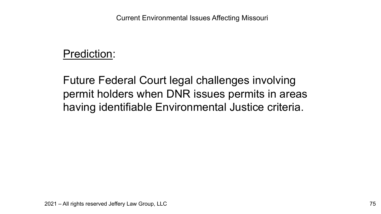## Prediction:

Future Federal Court legal challenges involving permit holders when DNR issues permits in areas having identifiable Environmental Justice criteria.